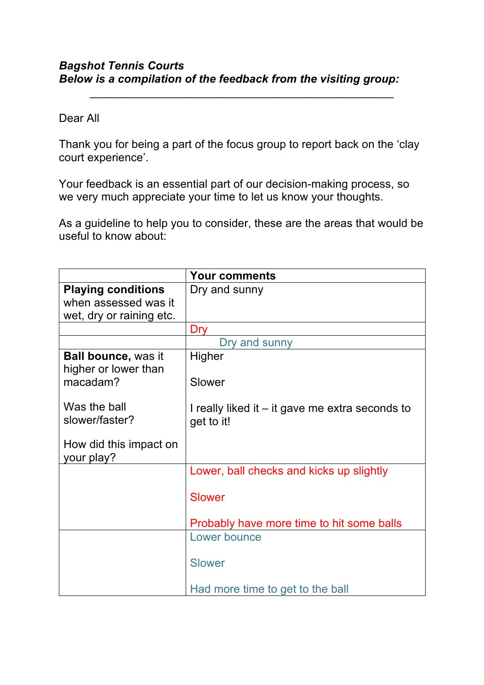## *Bagshot Tennis Courts Below is a compilation of the feedback from the visiting group:*

## Dear All

Thank you for being a part of the focus group to report back on the 'clay court experience'.

*\_\_\_\_\_\_\_\_\_\_\_\_\_\_\_\_\_\_\_\_\_\_\_\_\_\_\_\_\_\_\_\_\_\_\_\_\_\_\_\_\_\_\_\_\_\_\_\_*

Your feedback is an essential part of our decision-making process, so we very much appreciate your time to let us know your thoughts.

As a guideline to help you to consider, these are the areas that would be useful to know about:

|                                                    | <b>Your comments</b>                                          |
|----------------------------------------------------|---------------------------------------------------------------|
| <b>Playing conditions</b>                          | Dry and sunny                                                 |
| when assessed was it                               |                                                               |
| wet, dry or raining etc.                           |                                                               |
|                                                    | <b>Dry</b>                                                    |
|                                                    | Dry and sunny                                                 |
| <b>Ball bounce, was it</b><br>higher or lower than | Higher                                                        |
| macadam?                                           | Slower                                                        |
| Was the ball<br>slower/faster?                     | I really liked it – it gave me extra seconds to<br>get to it! |
| How did this impact on<br>your play?               |                                                               |
|                                                    | Lower, ball checks and kicks up slightly                      |
|                                                    | <b>Slower</b>                                                 |
|                                                    | Probably have more time to hit some balls                     |
|                                                    | Lower bounce                                                  |
|                                                    | <b>Slower</b>                                                 |
|                                                    | Had more time to get to the ball                              |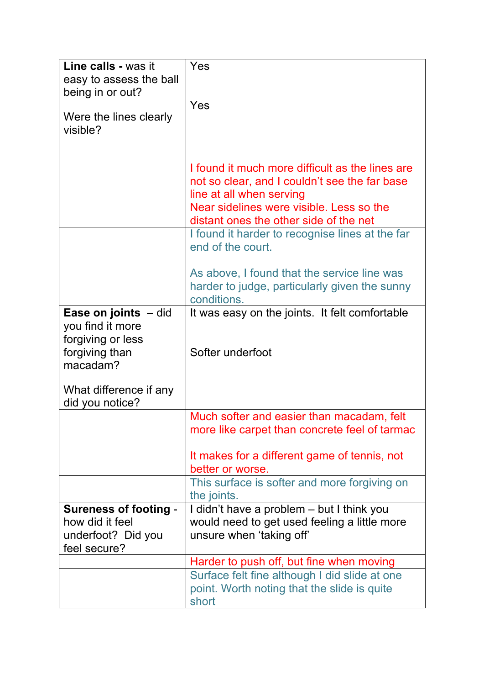| Line calls - was it<br>easy to assess the ball<br>being in or out?<br>Were the lines clearly<br>visible?                                          | Yes<br>Yes                                                                                                                                                                                                         |
|---------------------------------------------------------------------------------------------------------------------------------------------------|--------------------------------------------------------------------------------------------------------------------------------------------------------------------------------------------------------------------|
|                                                                                                                                                   | I found it much more difficult as the lines are<br>not so clear, and I couldn't see the far base<br>line at all when serving<br>Near sidelines were visible. Less so the<br>distant ones the other side of the net |
|                                                                                                                                                   | I found it harder to recognise lines at the far<br>end of the court.<br>As above, I found that the service line was<br>harder to judge, particularly given the sunny<br>conditions.                                |
| <b>Ease on joints</b> $-$ did<br>you find it more<br>forgiving or less<br>forgiving than<br>macadam?<br>What difference if any<br>did you notice? | It was easy on the joints. It felt comfortable<br>Softer underfoot                                                                                                                                                 |
|                                                                                                                                                   | Much softer and easier than macadam, felt<br>more like carpet than concrete feel of tarmac<br>It makes for a different game of tennis, not<br>better or worse.<br>This surface is softer and more forgiving on     |
| <b>Sureness of footing -</b><br>how did it feel<br>underfoot? Did you<br>feel secure?                                                             | the joints.<br>I didn't have a problem - but I think you<br>would need to get used feeling a little more<br>unsure when 'taking off'                                                                               |
|                                                                                                                                                   | Harder to push off, but fine when moving<br>Surface felt fine although I did slide at one<br>point. Worth noting that the slide is quite<br>short                                                                  |
|                                                                                                                                                   |                                                                                                                                                                                                                    |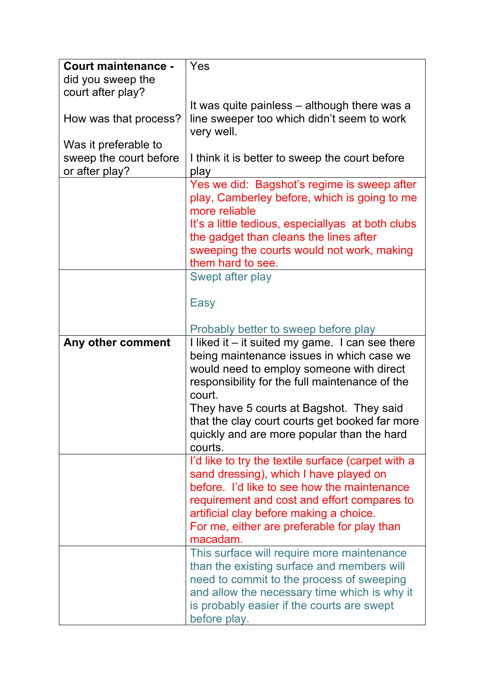| <b>Court maintenance -</b><br>did you sweep the | Yes                                                |
|-------------------------------------------------|----------------------------------------------------|
| court after play?                               |                                                    |
|                                                 | It was quite painless – although there was a       |
| How was that process?                           | line sweeper too which didn't seem to work         |
|                                                 | very well.                                         |
| Was it preferable to                            |                                                    |
| sweep the court before                          | I think it is better to sweep the court before     |
| or after play?                                  | play                                               |
|                                                 | Yes we did: Bagshot's regime is sweep after        |
|                                                 | play, Camberley before, which is going to me       |
|                                                 | more reliable                                      |
|                                                 | It's a little tedious, especially as at both clubs |
|                                                 | the gadget than cleans the lines after             |
|                                                 | sweeping the courts would not work, making         |
|                                                 | them hard to see.                                  |
|                                                 | Swept after play                                   |
|                                                 |                                                    |
|                                                 | Easy                                               |
|                                                 | Probably better to sweep before play               |
| Any other comment                               | I liked it - it suited my game. I can see there    |
|                                                 | being maintenance issues in which case we          |
|                                                 | would need to employ someone with direct           |
|                                                 | responsibility for the full maintenance of the     |
|                                                 | court.                                             |
|                                                 | They have 5 courts at Bagshot. They said           |
|                                                 | that the clay court courts get booked far more     |
|                                                 | quickly and are more popular than the hard         |
|                                                 | courts.                                            |
|                                                 | I'd like to try the textile surface (carpet with a |
|                                                 | sand dressing), which I have played on             |
|                                                 | before. I'd like to see how the maintenance        |
|                                                 | requirement and cost and effort compares to        |
|                                                 | artificial clay before making a choice.            |
|                                                 | For me, either are preferable for play than        |
|                                                 | macadam.                                           |
|                                                 | This surface will require more maintenance         |
|                                                 | than the existing surface and members will         |
|                                                 | need to commit to the process of sweeping          |
|                                                 | and allow the necessary time which is why it       |
|                                                 | is probably easier if the courts are swept         |
|                                                 | before play.                                       |